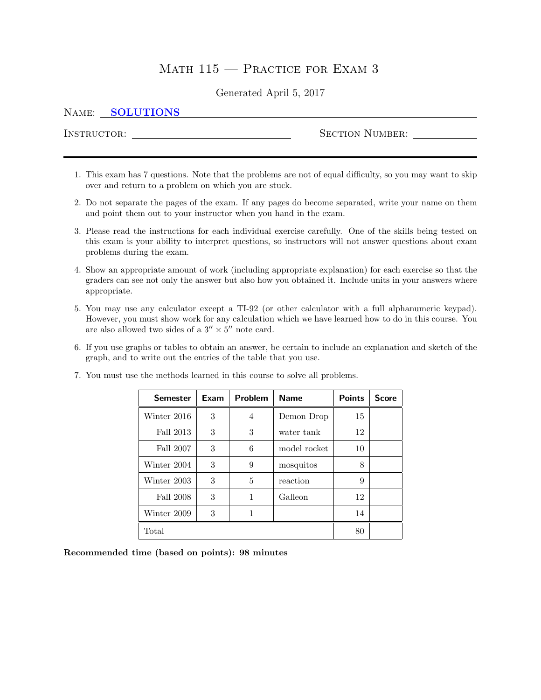# MATH  $115$  – Practice for Exam 3

# Generated April 5, 2017

### NAME: SOLUTIONS

Instructor: Section Number:

- 1. This exam has 7 questions. Note that the problems are not of equal difficulty, so you may want to skip over and return to a problem on which you are stuck.
- 2. Do not separate the pages of the exam. If any pages do become separated, write your name on them and point them out to your instructor when you hand in the exam.
- 3. Please read the instructions for each individual exercise carefully. One of the skills being tested on this exam is your ability to interpret questions, so instructors will not answer questions about exam problems during the exam.
- 4. Show an appropriate amount of work (including appropriate explanation) for each exercise so that the graders can see not only the answer but also how you obtained it. Include units in your answers where appropriate.
- 5. You may use any calculator except a TI-92 (or other calculator with a full alphanumeric keypad). However, you must show work for any calculation which we have learned how to do in this course. You are also allowed two sides of a  $3'' \times 5''$  note card.
- 6. If you use graphs or tables to obtain an answer, be certain to include an explanation and sketch of the graph, and to write out the entries of the table that you use.

| <b>Semester</b> | Exam | Problem      | <b>Name</b>  | <b>Points</b> | <b>Score</b> |
|-----------------|------|--------------|--------------|---------------|--------------|
| Winter 2016     | 3    | 4            | Demon Drop   | 15            |              |
| Fall 2013       | 3    | 3            | water tank   | 12            |              |
| Fall 2007       | 3    | 6            | model rocket | 10            |              |
| Winter 2004     | 3    | 9            | mosquitos    | 8             |              |
| Winter 2003     | 3    | 5            | reaction     | 9             |              |
| Fall 2008       | 3    | $\mathbf{1}$ | Galleon      | 12            |              |
| Winter 2009     | 3    | 1            |              | 14            |              |
| Total           | 80   |              |              |               |              |

7. You must use the methods learned in this course to solve all problems.

Recommended time (based on points): 98 minutes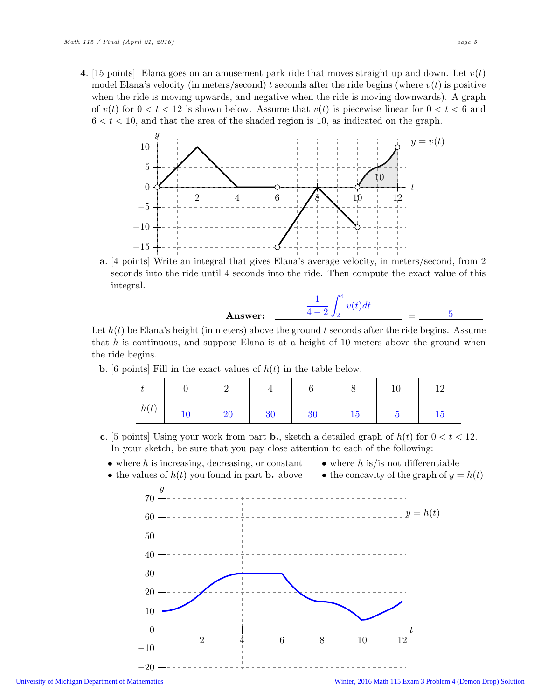4. [15 points] Elana goes on an amusement park ride that moves straight up and down. Let  $v(t)$ model Elana's velocity (in meters/second) t seconds after the ride begins (where  $v(t)$  is positive when the ride is moving upwards, and negative when the ride is moving downwards). A graph of  $v(t)$  for  $0 < t < 12$  is shown below. Assume that  $v(t)$  is piecewise linear for  $0 < t < 6$  and  $6 < t < 10$ , and that the area of the shaded region is 10, as indicated on the graph.



a. [4 points] Write an integral that gives Elana's average velocity, in meters/second, from 2 seconds into the ride until 4 seconds into the ride. Then compute the exact value of this integral.

**Answer:** 
$$
\frac{1}{4-2} \int_{2}^{4} v(t) dt = \frac{5}{4-2} \int_{2}^{4} v(t) dt
$$

Let  $h(t)$  be Elana's height (in meters) above the ground t seconds after the ride begins. Assume that h is continuous, and suppose Elana is at a height of 10 meters above the ground when the ride begins.

**b.** [6 points] Fill in the exact values of  $h(t)$  in the table below.

|      |    | -  |    | ⌒  | ◡  | 10 | ∸         |
|------|----|----|----|----|----|----|-----------|
| h(t) | 10 | 20 | 30 | 30 | 15 |    | <b>19</b> |

- c. [5 points] Using your work from part **b.**, sketch a detailed graph of  $h(t)$  for  $0 < t < 12$ . In your sketch, be sure that you pay close attention to each of the following:
	- $\bullet$  where h is increasing, decreasing, or constant
		- where  $h$  is is not differentiable
	- the values of  $h(t)$  you found in part **b.** above



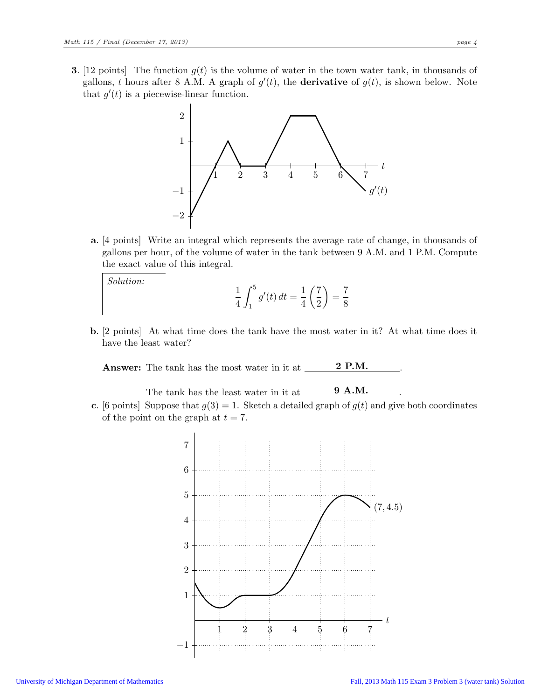**3.** [12 points] The function  $g(t)$  is the volume of water in the town water tank, in thousands of gallons, t hours after 8 A.M. A graph of  $g'(t)$ , the **derivative** of  $g(t)$ , is shown below. Note that  $g'(t)$  is a piecewise-linear function.



a. [4 points] Write an integral which represents the average rate of change, in thousands of gallons per hour, of the volume of water in the tank between 9 A.M. and 1 P.M. Compute the exact value of this integral.

Solution:

$$
\frac{1}{4} \int_{1}^{5} g'(t) dt = \frac{1}{4} \left(\frac{7}{2}\right) = \frac{7}{8}
$$

b. [2 points] At what time does the tank have the most water in it? At what time does it have the least water?

Answer: The tank has the most water in it at 2 P.M. .

The tank has the least water in it at  $\frac{9 \text{ A.M.}}{9 \text{ A.M.}}$ c. [6 points] Suppose that  $g(3) = 1$ . Sketch a detailed graph of  $g(t)$  and give both coordinates of the point on the graph at  $t = 7$ .

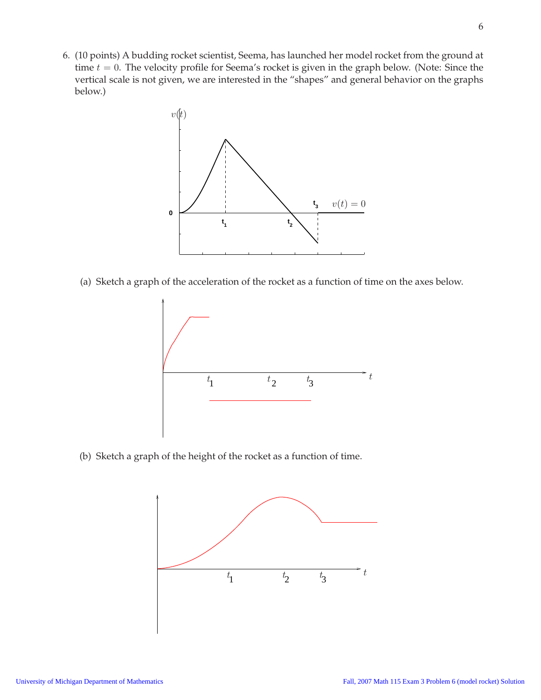6. (10 points) A budding rocket scientist, Seema, has launched her model rocket from the ground at time  $t = 0$ . The velocity profile for Seema's rocket is given in the graph below. (Note: Since the vertical scale is not given, we are interested in the "shapes" and general behavior on the graphs below.)



(a) Sketch a graph of the acceleration of the rocket as a function of time on the axes below.



(b) Sketch a graph of the height of the rocket as a function of time.

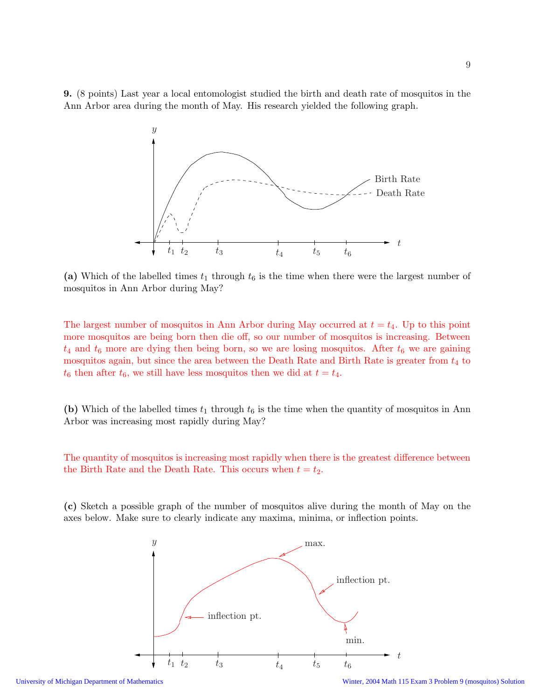9. (8 points) Last year a local entomologist studied the birth and death rate of mosquitos in the Ann Arbor area during the month of May. His research yielded the following graph.



(a) Which of the labelled times  $t_1$  through  $t_6$  is the time when there were the largest number of mosquitos in Ann Arbor during May?

The largest number of mosquitos in Ann Arbor during May occurred at  $t = t_4$ . Up to this point more mosquitos are being born then die off, so our number of mosquitos is increasing. Between  $t_4$  and  $t_6$  more are dying then being born, so we are losing mosquitos. After  $t_6$  we are gaining mosquitos again, but since the area between the Death Rate and Birth Rate is greater from  $t_4$  to  $t_6$  then after  $t_6$ , we still have less mosquitos then we did at  $t = t_4$ .

(b) Which of the labelled times  $t_1$  through  $t_6$  is the time when the quantity of mosquitos in Ann Arbor was increasing most rapidly during May?

The quantity of mosquitos is increasing most rapidly when there is the greatest difference between the Birth Rate and the Death Rate. This occurs when  $t = t_2$ .

(c) Sketch a possible graph of the number of mosquitos alive during the month of May on the axes below. Make sure to clearly indicate any maxima, minima, or inflection points.

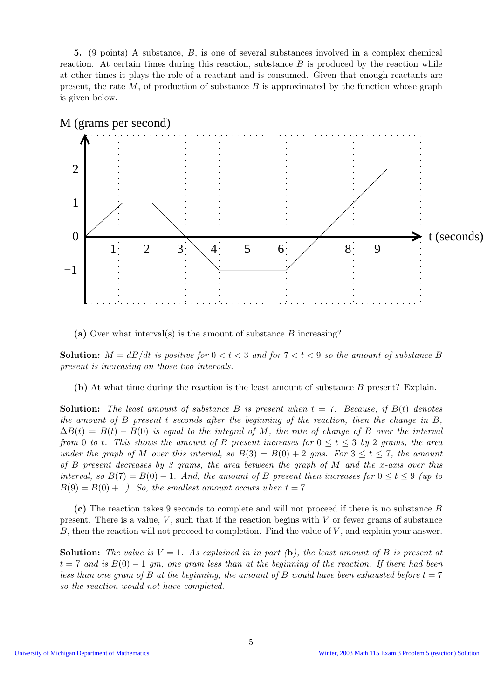5. (9 points) A substance, B, is one of several substances involved in a complex chemical reaction. At certain times during this reaction, substance  $B$  is produced by the reaction while at other times it plays the role of a reactant and is consumed. Given that enough reactants are present, the rate  $M$ , of production of substance  $B$  is approximated by the function whose graph is given below.



M (grams per second)

(a) Over what interval(s) is the amount of substance  $B$  increasing?

**Solution:**  $M = dB/dt$  is positive for  $0 < t < 3$  and for  $7 < t < 9$  so the amount of substance B present is increasing on those two intervals.

(b) At what time during the reaction is the least amount of substance B present? Explain.

**Solution:** The least amount of substance B is present when  $t = 7$ . Because, if  $B(t)$  denotes the amount of B present t seconds after the beginning of the reaction, then the change in  $B$ ,  $\Delta B(t) = B(t) - B(0)$  is equal to the integral of M, the rate of change of B over the interval from 0 to t. This shows the amount of B present increases for  $0 \le t \le 3$  by 2 grams, the area under the graph of M over this interval, so  $B(3) = B(0) + 2$  gms. For  $3 \le t \le 7$ , the amount of B present decreases by 3 grams, the area between the graph of M and the x-axis over this interval, so  $B(7) = B(0) - 1$ . And, the amount of B present then increases for  $0 \le t \le 9$  (up to  $B(9) = B(0) + 1$ . So, the smallest amount occurs when  $t = 7$ .

(c) The reaction takes 9 seconds to complete and will not proceed if there is no substance B present. There is a value,  $V$ , such that if the reaction begins with  $V$  or fewer grams of substance B, then the reaction will not proceed to completion. Find the value of  $V$ , and explain your answer.

**Solution:** The value is  $V = 1$ . As explained in in part (b), the least amount of B is present at  $t = 7$  and is  $B(0) - 1$  gm, one gram less than at the beginning of the reaction. If there had been less than one gram of B at the beginning, the amount of B would have been exhausted before  $t = 7$ so the reaction would not have completed.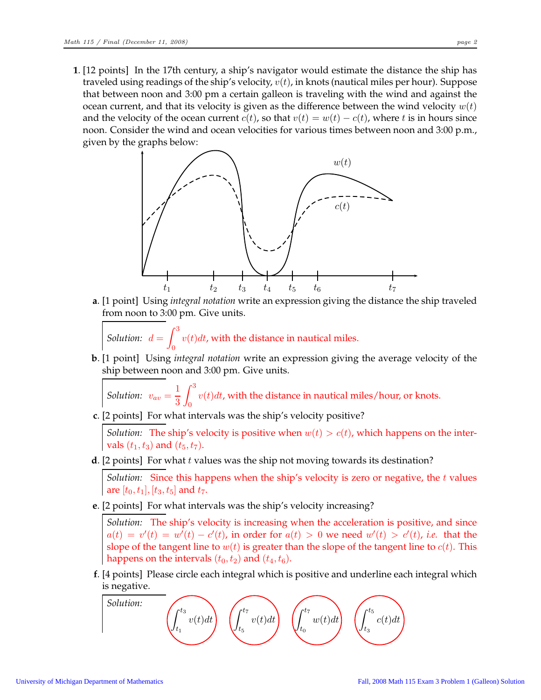**1**. [12 points] In the 17th century, a ship's navigator would estimate the distance the ship has traveled using readings of the ship's velocity,  $v(t)$ , in knots (nautical miles per hour). Suppose that between noon and 3:00 pm a certain galleon is traveling with the wind and against the ocean current, and that its velocity is given as the difference between the wind velocity  $w(t)$ and the velocity of the ocean current  $c(t)$ , so that  $v(t) = w(t) - c(t)$ , where t is in hours since noon. Consider the wind and ocean velocities for various times between noon and 3:00 p.m., given by the graphs below:



**a**. [1 point] Using *integral notation* write an expression giving the distance the ship traveled from noon to 3:00 pm. Give units.

*Solution:*  $d = \int_0^3$  $\int_{0}^{1} v(t)dt$ , with the distance in nautical miles.

**b**. [1 point] Using *integral notation* write an expression giving the average velocity of the ship between noon and 3:00 pm. Give units.

*Solution:*  $v_{av} = \frac{1}{2}$ 3  $\int_0^3$  $\int v(t)dt$ , with the distance in nautical miles/hour, or knots.

**c**. [2 points] For what intervals was the ship's velocity positive?

*Solution:* The ship's velocity is positive when  $w(t) > c(t)$ , which happens on the intervals  $(t_1, t_3)$  and  $(t_5, t_7)$ .

**d**. [2 points] For what *t* values was the ship not moving towards its destination?

*Solution:* Since this happens when the ship's velocity is zero or negative, the t values are  $[t_0, t_1]$ ,  $[t_3, t_5]$  and  $t_7$ .

**e**. [2 points] For what intervals was the ship's velocity increasing?

*Solution:* The ship's velocity is increasing when the acceleration is positive, and since  $a(t) = v'(t) = w'(t) - c'(t)$ , in order for  $a(t) > 0$  we need  $w'(t) > c'(t)$ , *i.e.* that the slope of the tangent line to  $w(t)$  is greater than the slope of the tangent line to  $c(t)$ . This happens on the intervals  $(t_0, t_2)$  and  $(t_4, t_6)$ .

**f**. [4 points] Please circle each integral which is positive and underline each integral which is negative.